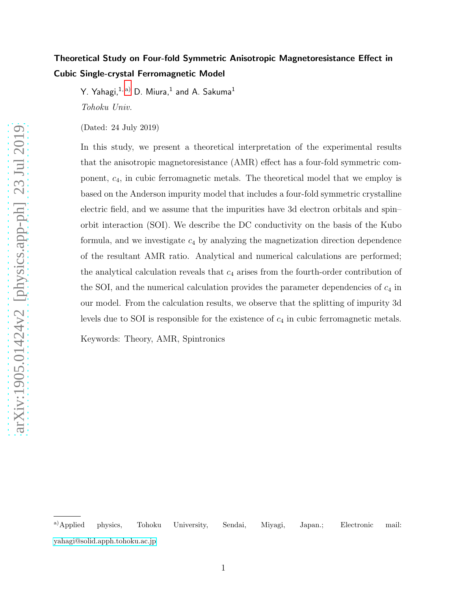# Theoretical Study on Four-fold Symmetric Anisotropic Magnetoresistance Effect in Cubic Single-crystal Ferromagnetic Model

Y. Yahagi, $^{1,\,\mathrm{a)}}$  $^{1,\,\mathrm{a)}}$  $^{1,\,\mathrm{a)}}$  D. Miura, $^{1}$  and A. Sakuma $^{1}$ *Tohoku Univ.*

(Dated: 24 July 2019)

In this study, we present a theoretical interpretation of the experimental results that the anisotropic magnetoresistance (AMR) effect has a four-fold symmetric component, c4, in cubic ferromagnetic metals. The theoretical model that we employ is based on the Anderson impurity model that includes a four-fold symmetric crystalline electric field, and we assume that the impurities have 3d electron orbitals and spin– orbit interaction (SOI). We describe the DC conductivity on the basis of the Kubo formula, and we investigate  $c_4$  by analyzing the magnetization direction dependence of the resultant AMR ratio. Analytical and numerical calculations are performed; the analytical calculation reveals that  $c_4$  arises from the fourth-order contribution of the SOI, and the numerical calculation provides the parameter dependencies of  $c_4$  in our model. From the calculation results, we observe that the splitting of impurity 3d levels due to SOI is responsible for the existence of  $c_4$  in cubic ferromagnetic metals.

Keywords: Theory, AMR, Spintronics

<span id="page-0-0"></span>a)Applied physics, Tohoku University, Sendai, Miyagi, Japan.; Electronic mail: [yahagi@solid.apph.tohoku.ac.jp](mailto:yahagi@solid.apph.tohoku.ac.jp)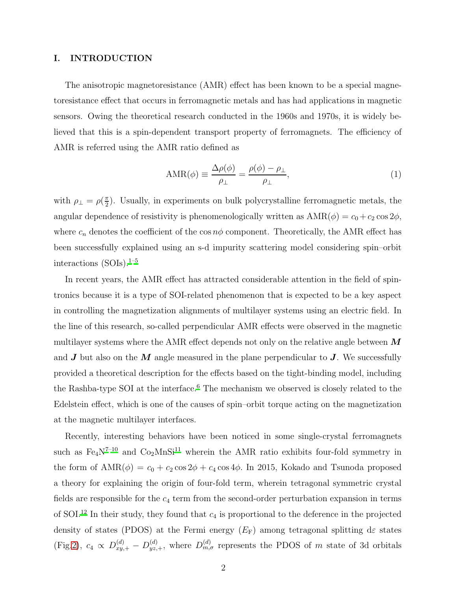#### I. INTRODUCTION

The anisotropic magnetoresistance (AMR) effect has been known to be a special magnetoresistance effect that occurs in ferromagnetic metals and has had applications in magnetic sensors. Owing the theoretical research conducted in the 1960s and 1970s, it is widely believed that this is a spin-dependent transport property of ferromagnets. The efficiency of AMR is referred using the AMR ratio defined as

<span id="page-1-0"></span>
$$
AMR(\phi) \equiv \frac{\Delta \rho(\phi)}{\rho_{\perp}} = \frac{\rho(\phi) - \rho_{\perp}}{\rho_{\perp}},
$$
\n(1)

with  $\rho_{\perp} = \rho(\frac{\pi}{2})$  $\frac{\pi}{2}$ ). Usually, in experiments on bulk polycrystalline ferromagnetic metals, the angular dependence of resistivity is phenomenologically written as  $AMR(\phi) = c_0 + c_2 \cos 2\phi$ , where  $c_n$  denotes the coefficient of the  $\cos n\phi$  component. Theoretically, the AMR effect has been successfully explained using an s-d impurity scattering model considering spin–orbit interactions  $(SOIs).<sup>1-5</sup>$  $(SOIs).<sup>1-5</sup>$  $(SOIs).<sup>1-5</sup>$ 

In recent years, the AMR effect has attracted considerable attention in the field of spintronics because it is a type of SOI-related phenomenon that is expected to be a key aspect in controlling the magnetization alignments of multilayer systems using an electric field. In the line of this research, so-called perpendicular AMR effects were observed in the magnetic multilayer systems where the AMR effect depends not only on the relative angle between  $\boldsymbol{M}$ and  $J$  but also on the  $M$  angle measured in the plane perpendicular to  $J$ . We successfully provided a theoretical description for the effects based on the tight-binding model, including the Rashba-type SOI at the interface.<sup>[6](#page-11-0)</sup> The mechanism we observed is closely related to the Edelstein effect, which is one of the causes of spin–orbit torque acting on the magnetization at the magnetic multilayer interfaces.

Recently, interesting behaviors have been noticed in some single-crystal ferromagnets such as  $Fe<sub>4</sub>N<sup>7-10</sup>$  $Fe<sub>4</sub>N<sup>7-10</sup>$  $Fe<sub>4</sub>N<sup>7-10</sup>$  and  $Co<sub>2</sub>MnSi<sup>11</sup>$  $Co<sub>2</sub>MnSi<sup>11</sup>$  $Co<sub>2</sub>MnSi<sup>11</sup>$  wherein the AMR ratio exhibits four-fold symmetry in the form of  $AMR(\phi) = c_0 + c_2 \cos 2\phi + c_4 \cos 4\phi$ . In 2015, Kokado and Tsunoda proposed a theory for explaining the origin of four-fold term, wherein tetragonal symmetric crystal fields are responsible for the  $c_4$  term from the second-order perturbation expansion in terms of SOI.<sup>[12](#page-11-4)</sup> In their study, they found that  $c_4$  is proportional to the deference in the projected density of states (PDOS) at the Fermi energy  $(E_F)$  among tetragonal splitting de states (Fig[.2\)](#page-12-0),  $c_4 \propto D_{xy,+}^{(d)} - D_{yz,+}^{(d)}$ , where  $D_{m,\sigma}^{(d)}$  represents the PDOS of m state of 3d orbitals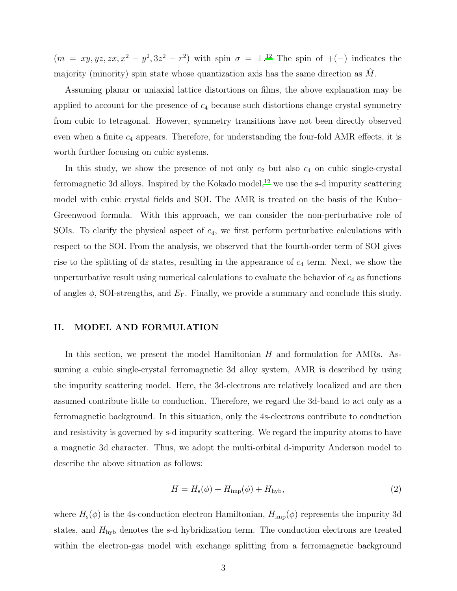$(m = xy, yz, zx, x<sup>2</sup> - y<sup>2</sup>, 3z<sup>2</sup> - r<sup>2</sup>)$  with spin  $\sigma = \pm$ .<sup>[12](#page-11-4)</sup> The spin of +(-) indicates the majority (minority) spin state whose quantization axis has the same direction as  $M$ .

Assuming planar or uniaxial lattice distortions on films, the above explanation may be applied to account for the presence of  $c_4$  because such distortions change crystal symmetry from cubic to tetragonal. However, symmetry transitions have not been directly observed even when a finite  $c_4$  appears. Therefore, for understanding the four-fold AMR effects, it is worth further focusing on cubic systems.

In this study, we show the presence of not only  $c_2$  but also  $c_4$  on cubic single-crystal ferromagnetic 3d alloys. Inspired by the Kokado model,<sup>[12](#page-11-4)</sup> we use the s-d impurity scattering model with cubic crystal fields and SOI. The AMR is treated on the basis of the Kubo– Greenwood formula. With this approach, we can consider the non-perturbative role of SOIs. To clarify the physical aspect of  $c_4$ , we first perform perturbative calculations with respect to the SOI. From the analysis, we observed that the fourth-order term of SOI gives rise to the splitting of de states, resulting in the appearance of  $c_4$  term. Next, we show the unperturbative result using numerical calculations to evaluate the behavior of  $c_4$  as functions of angles  $\phi$ , SOI-strengths, and  $E_F$ . Finally, we provide a summary and conclude this study.

#### II. MODEL AND FORMULATION

In this section, we present the model Hamiltonian  $H$  and formulation for AMRs. Assuming a cubic single-crystal ferromagnetic 3d alloy system, AMR is described by using the impurity scattering model. Here, the 3d-electrons are relatively localized and are then assumed contribute little to conduction. Therefore, we regard the 3d-band to act only as a ferromagnetic background. In this situation, only the 4s-electrons contribute to conduction and resistivity is governed by s-d impurity scattering. We regard the impurity atoms to have a magnetic 3d character. Thus, we adopt the multi-orbital d-impurity Anderson model to describe the above situation as follows:

$$
H = Hs(\phi) + Himp(\phi) + Hhyb,
$$
\n(2)

where  $H_s(\phi)$  is the 4s-conduction electron Hamiltonian,  $H_{\text{imp}}(\phi)$  represents the impurity 3d states, and  $H_{\text{hyb}}$  denotes the s-d hybridization term. The conduction electrons are treated within the electron-gas model with exchange splitting from a ferromagnetic background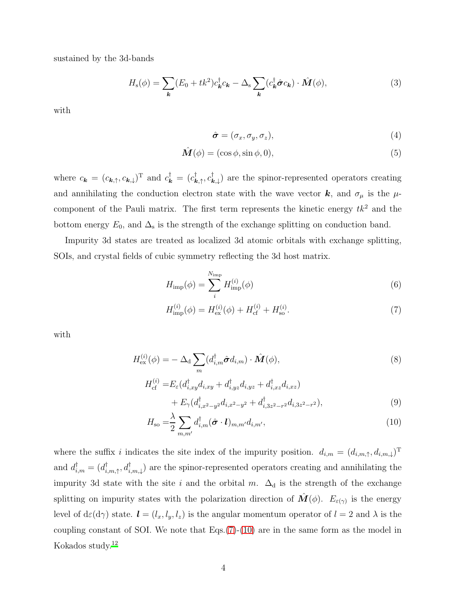sustained by the 3d-bands

$$
H_{\rm s}(\phi) = \sum_{\mathbf{k}} (E_0 + tk^2) c_{\mathbf{k}}^{\dagger} c_{\mathbf{k}} - \Delta_{\rm s} \sum_{\mathbf{k}} (c_{\mathbf{k}}^{\dagger} \hat{\boldsymbol{\sigma}} c_{\mathbf{k}}) \cdot \hat{\boldsymbol{M}}(\phi), \tag{3}
$$

with

$$
\hat{\boldsymbol{\sigma}} = (\sigma_x, \sigma_y, \sigma_z), \tag{4}
$$

$$
\hat{\mathbf{M}}(\phi) = (\cos \phi, \sin \phi, 0),\tag{5}
$$

where  $c_{\bf k} = (c_{\bf k, \uparrow}, c_{\bf k, \downarrow})^{\rm T}$  and  $c_{\bf k}^{\dagger} = (c_{\bf k, \uparrow}^{\dagger}, c_{\bf k, \downarrow}^{\dagger})$  are the spinor-represented operators creating and annihilating the conduction electron state with the wave vector  $\boldsymbol{k}$ , and  $\sigma_{\mu}$  is the  $\mu$ component of the Pauli matrix. The first term represents the kinetic energy  $tk^2$  and the bottom energy  $E_0$ , and  $\Delta_s$  is the strength of the exchange splitting on conduction band.

Impurity 3d states are treated as localized 3d atomic orbitals with exchange splitting, SOIs, and crystal fields of cubic symmetry reflecting the 3d host matrix.

$$
H_{\rm imp}(\phi) = \sum_{i}^{N_{\rm imp}} H_{\rm imp}^{(i)}(\phi)
$$
\n(6)

<span id="page-3-0"></span>
$$
H_{\rm imp}^{(i)}(\phi) = H_{\rm ex}^{(i)}(\phi) + H_{\rm cf}^{(i)} + H_{\rm so}^{(i)}.
$$
\n(7)

with

$$
H_{\text{ex}}^{(i)}(\phi) = -\Delta_{\text{d}} \sum_{m} (d_{i,m}^{\dagger} \hat{\boldsymbol{\sigma}} d_{i,m}) \cdot \hat{\boldsymbol{M}}(\phi), \qquad (8)
$$

$$
H_{\text{cf}}^{(i)} = E_{\varepsilon} (d_{i,xy}^{\dagger} d_{i,xy} + d_{i,yz}^{\dagger} d_{i,yz} + d_{i,xz}^{\dagger} d_{i,xz}) + E_{\gamma} (d_{i,x^2-y^2}^{\dagger} d_{i,x^2-y^2} + d_{i,3z^2-r^2}^{\dagger} d_{i,3z^2-r^2}),
$$
\n(9)

<span id="page-3-1"></span>
$$
H_{\rm so} = \frac{\lambda}{2} \sum_{m,m'} d_{i,m}^{\dagger} (\hat{\boldsymbol{\sigma}} \cdot \boldsymbol{l})_{m,m'} d_{i,m'}, \qquad (10)
$$

where the suffix i indicates the site index of the impurity position.  $d_{i,m} = (d_{i,m,\uparrow}, d_{i,m,\downarrow})^{\mathrm{T}}$ and  $d_{i,m}^{\dagger} = (d_{i,m,\uparrow}^{\dagger}, d_{i,m,\downarrow}^{\dagger})$  are the spinor-represented operators creating and annihilating the impurity 3d state with the site i and the orbital m.  $\Delta_d$  is the strength of the exchange splitting on impurity states with the polarization direction of  $\hat{\mathbf{M}}(\phi)$ .  $E_{\varepsilon(\gamma)}$  is the energy level of  $d\varepsilon(d\gamma)$  state.  $\boldsymbol{l} = (l_x, l_y, l_z)$  is the angular momentum operator of  $l = 2$  and  $\lambda$  is the coupling constant of SOI. We note that  $Eqs.(7)-(10)$  $Eqs.(7)-(10)$  $Eqs.(7)-(10)$  $Eqs.(7)-(10)$  are in the same form as the model in Kokados study.[12](#page-11-4)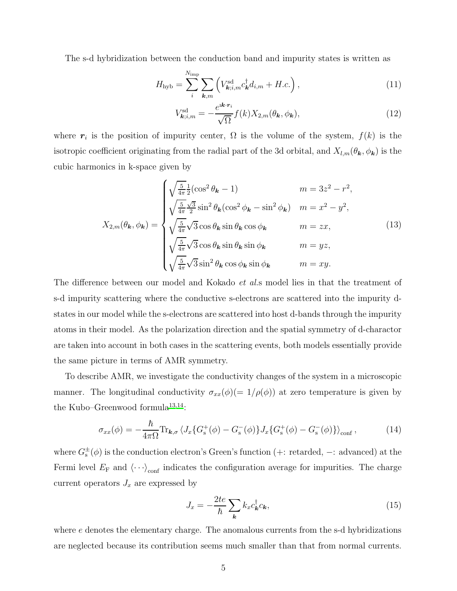The s-d hybridization between the conduction band and impurity states is written as

$$
H_{\rm hyb} = \sum_{i}^{N_{\rm imp}} \sum_{\mathbf{k}, m} \left( V_{\mathbf{k}; i, m}^{\rm sd} c_{\mathbf{k}}^{\dagger} d_{i, m} + H.c. \right), \tag{11}
$$

$$
V_{\mathbf{k};i,m}^{\mathrm{sd}} = -\frac{e^{\mathrm{i}\mathbf{k}\cdot\mathbf{r}_{i}}}{\sqrt{\Omega}}f(k)X_{2,m}(\theta_{\mathbf{k}},\phi_{\mathbf{k}}),
$$
\n(12)

where  $r_i$  is the position of impurity center,  $\Omega$  is the volume of the system,  $f(k)$  is the isotropic coefficient originating from the radial part of the 3d orbital, and  $X_{l,m}(\theta_{\mathbf{k}}, \phi_{\mathbf{k}})$  is the cubic harmonics in k-space given by

$$
X_{2,m}(\theta_{\mathbf{k}},\phi_{\mathbf{k}}) = \begin{cases} \sqrt{\frac{5}{4\pi}} \frac{1}{2}(\cos^2\theta_{\mathbf{k}} - 1) & m = 3z^2 - r^2, \\ \sqrt{\frac{5}{4\pi}} \frac{\sqrt{3}}{2}\sin^2\theta_{\mathbf{k}}(\cos^2\phi_{\mathbf{k}} - \sin^2\phi_{\mathbf{k}}) & m = x^2 - y^2, \\ \sqrt{\frac{5}{4\pi}} \sqrt{3}\cos\theta_{\mathbf{k}}\sin\theta_{\mathbf{k}}\cos\phi_{\mathbf{k}} & m = zx, \\ \sqrt{\frac{5}{4\pi}} \sqrt{3}\cos\theta_{\mathbf{k}}\sin\theta_{\mathbf{k}}\sin\phi_{\mathbf{k}} & m = yz, \\ \sqrt{\frac{5}{4\pi}} \sqrt{3}\sin^2\theta_{\mathbf{k}}\cos\phi_{\mathbf{k}}\sin\phi_{\mathbf{k}} & m = xy. \end{cases}
$$
(13)

The difference between our model and Kokado *et al.*s model lies in that the treatment of s-d impurity scattering where the conductive s-electrons are scattered into the impurity dstates in our model while the s-electrons are scattered into host d-bands through the impurity atoms in their model. As the polarization direction and the spatial symmetry of d-charactor are taken into account in both cases in the scattering events, both models essentially provide the same picture in terms of AMR symmetry.

To describe AMR, we investigate the conductivity changes of the system in a microscopic manner. The longitudinal conductivity  $\sigma_{xx}(\phi)(=1/\rho(\phi))$  at zero temperature is given by the Kubo–Greenwood formula<sup>[13](#page-11-5)[,14](#page-11-6)</sup>:

<span id="page-4-0"></span>
$$
\sigma_{xx}(\phi) = -\frac{\hbar}{4\pi\Omega} \text{Tr}_{\mathbf{k},\sigma} \langle J_x \{ G_s^+(\phi) - G_s^-(\phi) \} J_x \{ G_s^+(\phi) - G_s^-(\phi) \} \rangle_{\text{conf}} , \qquad (14)
$$

where  $G_s^{\pm}(\phi)$  is the conduction electron's Green's function (+: retarded,  $-$ : advanced) at the Fermi level  $E_F$  and  $\langle \cdot \cdot \cdot \rangle_{\text{conf}}$  indicates the configuration average for impurities. The charge current operators  $J_x$  are expressed by

$$
J_x = -\frac{2te}{\hbar} \sum_{\mathbf{k}} k_x c_{\mathbf{k}}^\dagger c_{\mathbf{k}},\tag{15}
$$

where e denotes the elementary charge. The anomalous currents from the s-d hybridizations are neglected because its contribution seems much smaller than that from normal currents.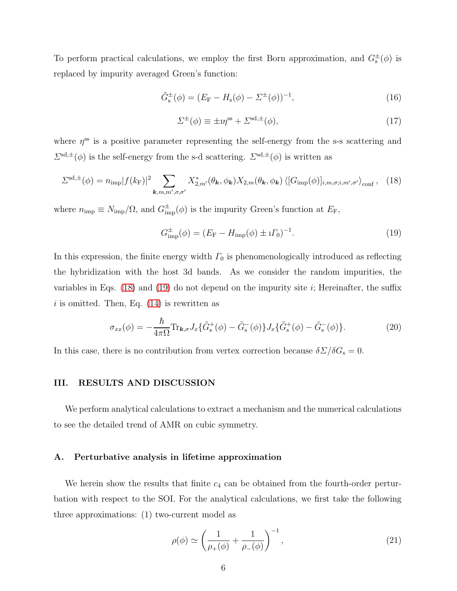To perform practical calculations, we employ the first Born approximation, and  $G_s^{\pm}(\phi)$  is replaced by impurity averaged Green's function:

$$
\tilde{G}_{\rm s}^{\pm}(\phi) = (E_{\rm F} - H_{\rm s}(\phi) - \Sigma^{\pm}(\phi))^{-1},\tag{16}
$$

$$
\Sigma^{\pm}(\phi) \equiv \pm i\eta^{\text{ss}} + \Sigma^{\text{sd},\pm}(\phi),\tag{17}
$$

where  $\eta^{\text{ss}}$  is a positive parameter representing the self-energy from the s-s scattering and  $\Sigma^{\text{sd},\pm}(\phi)$  is the self-energy from the s-d scattering.  $\Sigma^{\text{sd},\pm}(\phi)$  is written as

<span id="page-5-0"></span>
$$
\Sigma^{\text{sd},\pm}(\phi) = n_{\text{imp}}|f(k_{\text{F}})|^2 \sum_{\mathbf{k},m,m',\sigma,\sigma'} X_{2,m'}^*(\theta_{\mathbf{k}},\phi_{\mathbf{k}}) X_{2,m}(\theta_{\mathbf{k}},\phi_{\mathbf{k}}) \langle [G_{\text{imp}}(\phi)]_{i,m,\sigma;i,m',\sigma'} \rangle_{\text{conf}}, \quad (18)
$$

where  $n_{\rm imp} \equiv N_{\rm imp}/\Omega$ , and  $G_{\rm imp}^{\pm}(\phi)$  is the impurity Green's function at  $E_{\rm F}$ ,

<span id="page-5-1"></span>
$$
G_{\rm imp}^{\pm}(\phi) = (E_{\rm F} - H_{\rm imp}(\phi) \pm i \Gamma_0)^{-1}.
$$
 (19)

In this expression, the finite energy width  $\Gamma_0$  is phenomenologically introduced as reflecting the hybridization with the host 3d bands. As we consider the random impurities, the variables in Eqs.  $(18)$  and  $(19)$  do not depend on the impurity site i; Hereinafter, the suffix  $i$  is omitted. Then, Eq.  $(14)$  is rewritten as

<span id="page-5-2"></span>
$$
\sigma_{xx}(\phi) = -\frac{\hbar}{4\pi\Omega} \text{Tr}_{\mathbf{k},\sigma} J_x \{ \tilde{G}_s^+(\phi) - \tilde{G}_s^-(\phi) \} J_x \{ \tilde{G}_s^+(\phi) - \tilde{G}_s^-(\phi) \}. \tag{20}
$$

In this case, there is no contribution from vertex correction because  $\delta \Sigma / \delta G_s = 0$ .

## III. RESULTS AND DISCUSSION

We perform analytical calculations to extract a mechanism and the numerical calculations to see the detailed trend of AMR on cubic symmetry.

#### A. Perturbative analysis in lifetime approximation

We herein show the results that finite  $c_4$  can be obtained from the fourth-order perturbation with respect to the SOI. For the analytical calculations, we first take the following three approximations: (1) two-current model as

$$
\rho(\phi) \simeq \left(\frac{1}{\rho_+(\phi)} + \frac{1}{\rho_-(\phi)}\right)^{-1},\tag{21}
$$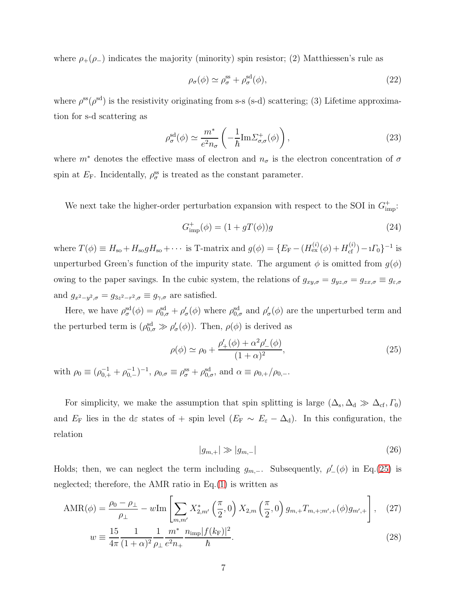where  $\rho_{+}(\rho_{-})$  indicates the majority (minority) spin resistor; (2) Matthiessen's rule as

$$
\rho_{\sigma}(\phi) \simeq \rho_{\sigma}^{\text{ss}} + \rho_{\sigma}^{\text{sd}}(\phi),\tag{22}
$$

where  $\rho^{\rm ss}(\rho^{\rm sd})$  is the resistivity originating from s-s (s-d) scattering; (3) Lifetime approximation for s-d scattering as

$$
\rho_{\sigma}^{\rm sd}(\phi) \simeq \frac{m^*}{e^2 n_{\sigma}} \left( -\frac{1}{\hbar} \text{Im} \Sigma_{\sigma,\sigma}^+(\phi) \right),\tag{23}
$$

where  $m^*$  denotes the effective mass of electron and  $n_{\sigma}$  is the electron concentration of  $\sigma$ spin at  $E_{\rm F}$ . Incidentally,  $\rho_{\sigma}^{\rm ss}$  is treated as the constant parameter.

We next take the higher-order perturbation expansion with respect to the SOI in  $G_{\text{imp}}^{+}$ :

<span id="page-6-2"></span>
$$
G_{\rm imp}^+(\phi) = (1 + gT(\phi))g\tag{24}
$$

where  $T(\phi) \equiv H_{so} + H_{so} g H_{so} + \cdots$  is T-matrix and  $g(\phi) = \{E_F - (H_{ex}^{(i)}(\phi) + H_{cf}^{(i)}) - iI_0\}^{-1}$  is unperturbed Green's function of the impurity state. The argument  $\phi$  is omitted from  $g(\phi)$ owing to the paper savings. In the cubic system, the relations of  $g_{xy,\sigma} = g_{yz,\sigma} = g_{zx,\sigma} \equiv g_{\varepsilon,\sigma}$ and  $g_{x^2-y^2,\sigma} = g_{3z^2-r^2,\sigma} \equiv g_{\gamma,\sigma}$  are satisfied.

Here, we have  $\rho_{\sigma}^{\rm sd}(\phi) = \rho_{0,\sigma}^{\rm sd} + \rho_{\sigma}'(\phi)$  where  $\rho_{0,\sigma}^{\rm sd}$  and  $\rho_{\sigma}'(\phi)$  are the unperturbed term and the perturbed term is  $(\rho_{0,\sigma}^{\text{sd}} \gg \rho_{\sigma}'(\phi))$ . Then,  $\rho(\phi)$  is derived as

<span id="page-6-0"></span>
$$
\rho(\phi) \simeq \rho_0 + \frac{\rho'_+(\phi) + \alpha^2 \rho'_-(\phi)}{(1+\alpha)^2},
$$
\n(25)

with  $\rho_0 \equiv (\rho_{0,+}^{-1} + \rho_{0,-}^{-1})^{-1}$ ,  $\rho_{0,\sigma} \equiv \rho_{\sigma}^{\text{ss}} + \rho_{0,\sigma}^{\text{sd}}$ , and  $\alpha \equiv \rho_{0,+}/\rho_{0,-}$ .

For simplicity, we make the assumption that spin splitting is large  $(\Delta_s, \Delta_d \gg \Delta_{cf}, \Gamma_0)$ and  $E_F$  lies in the de states of + spin level  $(E_F \sim E_{\varepsilon} - \Delta_d)$ . In this configuration, the relation

<span id="page-6-3"></span><span id="page-6-1"></span>
$$
|g_{m,+}| \gg |g_{m,-}| \tag{26}
$$

Holds; then, we can neglect the term including  $g_{m,-}$ . Subsequently,  $\rho'(\phi)$  in Eq.[\(25\)](#page-6-0) is neglected; therefore, the AMR ratio in Eq.[\(1\)](#page-1-0) is written as

$$
AMR(\phi) = \frac{\rho_0 - \rho_\perp}{\rho_\perp} - w \text{Im} \left[ \sum_{m,m'} X_{2,m'}^* \left( \frac{\pi}{2}, 0 \right) X_{2,m} \left( \frac{\pi}{2}, 0 \right) g_{m,+} T_{m,+;m',+}(\phi) g_{m',+} \right], \quad (27)
$$

$$
w \equiv \frac{15}{4\pi} \frac{1}{(1+\alpha)^2} \frac{1}{\rho_{\perp}} \frac{m^*}{e^2 n_+} \frac{n_{\rm imp} |f(k_{\rm F})|^2}{\hbar}.
$$
 (28)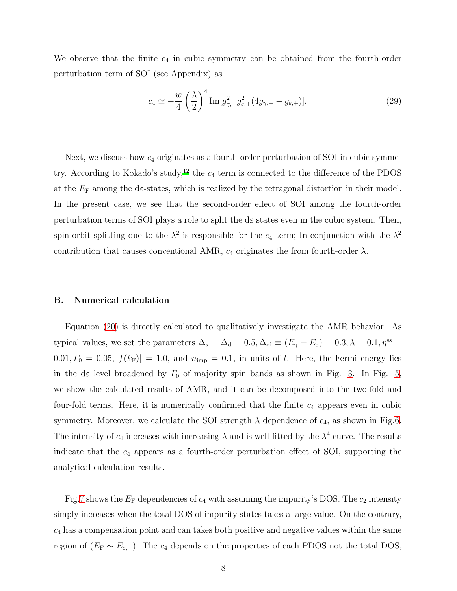We observe that the finite  $c_4$  in cubic symmetry can be obtained from the fourth-order perturbation term of SOI (see Appendix) as

<span id="page-7-0"></span>
$$
c_4 \simeq -\frac{w}{4} \left(\frac{\lambda}{2}\right)^4 \operatorname{Im}[g_{\gamma,+}^2 g_{\varepsilon,+}^2 (4g_{\gamma,+} - g_{\varepsilon,+})]. \tag{29}
$$

Next, we discuss how  $c_4$  originates as a fourth-order perturbation of SOI in cubic symme-try. According to Kokado's study,<sup>[12](#page-11-4)</sup> the  $c_4$  term is connected to the difference of the PDOS at the  $E_F$  among the de-states, which is realized by the tetragonal distortion in their model. In the present case, we see that the second-order effect of SOI among the fourth-order perturbation terms of SOI plays a role to split the d $\varepsilon$  states even in the cubic system. Then, spin-orbit splitting due to the  $\lambda^2$  is responsible for the  $c_4$  term; In conjunction with the  $\lambda^2$ contribution that causes conventional AMR,  $c_4$  originates the from fourth-order  $\lambda$ .

#### B. Numerical calculation

Equation [\(20\)](#page-5-2) is directly calculated to qualitatively investigate the AMR behavior. As typical values, we set the parameters  $\Delta_s = \Delta_d = 0.5, \Delta_{cf} \equiv (E_{\gamma} - E_{\varepsilon}) = 0.3, \lambda = 0.1, \eta^{\rm ss} =$  $0.01, \Gamma_0 = 0.05, |f(k_F)| = 1.0$ , and  $n_{\text{imp}} = 0.1$ , in units of t. Here, the Fermi energy lies in the d $\varepsilon$  level broadened by  $\Gamma_0$  of majority spin bands as shown in Fig. [3.](#page-13-0) In Fig. [5,](#page-13-1) we show the calculated results of AMR, and it can be decomposed into the two-fold and four-fold terms. Here, it is numerically confirmed that the finite  $c_4$  appears even in cubic symmetry. Moreover, we calculate the SOI strength  $\lambda$  dependence of  $c_4$ , as shown in Fig[.6.](#page-14-0) The intensity of  $c_4$  increases with increasing  $\lambda$  and is well-fitted by the  $\lambda^4$  curve. The results indicate that the  $c_4$  appears as a fourth-order perturbation effect of SOI, supporting the analytical calculation results.

Fig[.7](#page-14-1) shows the  $E_F$  dependencies of  $c_4$  with assuming the impurity's DOS. The  $c_2$  intensity simply increases when the total DOS of impurity states takes a large value. On the contrary,  $c_4$  has a compensation point and can takes both positive and negative values within the same region of  $(E_F \sim E_{\varepsilon,+})$ . The  $c_4$  depends on the properties of each PDOS not the total DOS,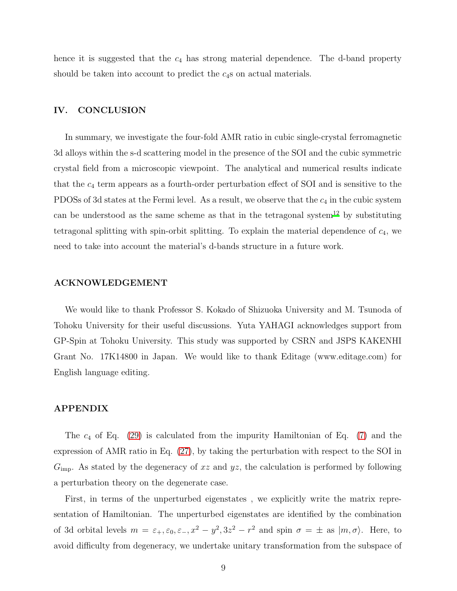hence it is suggested that the  $c_4$  has strong material dependence. The d-band property should be taken into account to predict the  $c_4$ s on actual materials.

## IV. CONCLUSION

In summary, we investigate the four-fold AMR ratio in cubic single-crystal ferromagnetic 3d alloys within the s-d scattering model in the presence of the SOI and the cubic symmetric crystal field from a microscopic viewpoint. The analytical and numerical results indicate that the  $c_4$  term appears as a fourth-order perturbation effect of SOI and is sensitive to the PDOSs of 3d states at the Fermi level. As a result, we observe that the  $c_4$  in the cubic system can be understood as the same scheme as that in the tetragonal system<sup>[12](#page-11-4)</sup> by substituting tetragonal splitting with spin-orbit splitting. To explain the material dependence of  $c_4$ , we need to take into account the material's d-bands structure in a future work.

#### ACKNOWLEDGEMENT

We would like to thank Professor S. Kokado of Shizuoka University and M. Tsunoda of Tohoku University for their useful discussions. Yuta YAHAGI acknowledges support from GP-Spin at Tohoku University. This study was supported by CSRN and JSPS KAKENHI Grant No. 17K14800 in Japan. We would like to thank Editage (www.editage.com) for English language editing.

### APPENDIX

The  $c_4$  of Eq. [\(29\)](#page-7-0) is calculated from the impurity Hamiltonian of Eq. [\(7\)](#page-3-0) and the expression of AMR ratio in Eq. [\(27\)](#page-6-1), by taking the perturbation with respect to the SOI in  $G_{\text{imp}}$ . As stated by the degeneracy of xz and yz, the calculation is performed by following a perturbation theory on the degenerate case.

First, in terms of the unperturbed eigenstates , we explicitly write the matrix representation of Hamiltonian. The unperturbed eigenstates are identified by the combination of 3d orbital levels  $m = \varepsilon_+, \varepsilon_0, \varepsilon_-, x^2 - y^2, 3z^2 - r^2$  and spin  $\sigma = \pm$  as  $|m, \sigma\rangle$ . Here, to avoid difficulty from degeneracy, we undertake unitary transformation from the subspace of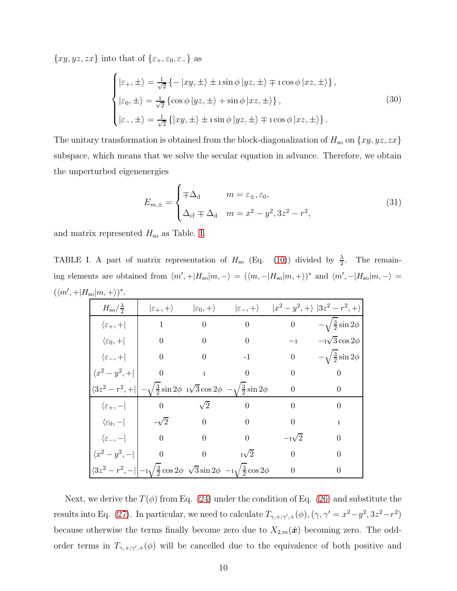$\{xy, yz, zx\}$  into that of  $\{\varepsilon_{+}, \varepsilon_{0}, \varepsilon_{-}\}$  as

$$
\begin{cases}\n\left|\varepsilon_{+},\pm\right\rangle = \frac{1}{\sqrt{2}}\left\{-\left|xy,\pm\right\rangle \pm i\sin\phi\left|yz,\pm\right\rangle \mp i\cos\phi\left|xz,\pm\right\rangle\right\}, \\
\left|\varepsilon_{0},\pm\right\rangle = \frac{1}{\sqrt{2}}\left\{\cos\phi\left|yz,\pm\right\rangle + \sin\phi\left|xz,\pm\right\rangle\right\}, \\
\left|\varepsilon_{-},\pm\right\rangle = \frac{1}{\sqrt{2}}\left\{\left|xy,\pm\right\rangle \pm i\sin\phi\left|yz,\pm\right\rangle \mp i\cos\phi\left|xz,\pm\right\rangle\right\}.\n\end{cases}\n(30)
$$

The unitary transformation is obtained from the block-diagonalization of  $H_{\rm so}$  on  $\{xy, yz, zx\}$ subspace, which means that we solve the secular equation in advance. Therefore, we obtain the unperturbed eigenenergies

$$
E_{m,\pm} = \begin{cases} \mp \Delta_{\rm d} & m = \varepsilon_{\pm}, \varepsilon_{0}, \\ \Delta_{\rm cf} \mp \Delta_{\rm d} & m = x^{2} - y^{2}, 3z^{2} - r^{2}, \end{cases}
$$
(31)

and matrix represented  $H_{\rm so}$  as Table. [I.](#page-9-0)

TABLE I. A part of matrix representation of  $H_{\rm so}$  (Eq. [\(10\)](#page-3-1)) divided by  $\frac{\lambda}{2}$ . The remaining elements are obtained from  $\langle m', +|H_{so}|m, -\rangle = (\langle m, -|H_{so}|m, +\rangle)^*$  and  $\langle m', -|H_{so}|m, -\rangle =$  $(\langle m', + | H_{\rm so} | m, + \rangle)^*$ .

<span id="page-9-0"></span>

| $H_{\rm so}/\frac{\lambda}{2}$      | $\ket{\varepsilon_+, +}$                                                                                                | $\ket{\varepsilon_0, +}$ | $ \varepsilon_-,+\rangle$                                                        |                                 | $ x^2-y^2,+\rangle$ $ 3z^2-r^2,+\rangle$ |
|-------------------------------------|-------------------------------------------------------------------------------------------------------------------------|--------------------------|----------------------------------------------------------------------------------|---------------------------------|------------------------------------------|
| $\langle \varepsilon_+,+\rangle$    | $\mathbf{1}$                                                                                                            | $\overline{0}$           | $\overline{0}$                                                                   | $\begin{matrix} 0 \end{matrix}$ | $-\sqrt{\frac{3}{2}}\sin 2\phi$          |
| $\langle \varepsilon_0, +  $        | $\overline{0}$                                                                                                          | $\overline{0}$           | $\boldsymbol{0}$                                                                 | $^{-1}$                         | $-1\sqrt{3}\cos 2\phi$                   |
| $\langle \varepsilon_-,+\vert$      | $\overline{0}$                                                                                                          |                          | $-1$                                                                             | $\boldsymbol{0}$                | $-\sqrt{\frac{3}{2}}\sin 2\phi$          |
| $\langle x^2 - y^2, +  $            | $\overline{0}$                                                                                                          |                          | $\boldsymbol{0}$                                                                 | $\overline{0}$                  | $\boldsymbol{0}$                         |
| $\langle 3z^2 - r^2, + \vert \vert$ |                                                                                                                         |                          | $-\sqrt{\frac{3}{2}}\sin 2\phi \sqrt{3}\cos 2\phi -\sqrt{\frac{3}{2}}\sin 2\phi$ | $\overline{0}$                  | 0                                        |
| $\langle \varepsilon_+, - $         | $\overline{0}$                                                                                                          | $\sqrt{2}$               | $\overline{0}$                                                                   | $\Omega$                        | $\theta$                                 |
| $\langle \varepsilon_0,- $          | $-\sqrt{2}$                                                                                                             | $\overline{0}$           | $\overline{0}$                                                                   | $\theta$                        | 1                                        |
| $\langle \varepsilon_-, -  $        | $\overline{0}$                                                                                                          | $\theta$                 | $\boldsymbol{0}$                                                                 | $-1\sqrt{2}$                    | 0                                        |
| $\langle x^2-y^2,- $                | $\theta$                                                                                                                | $\overline{0}$           | $1\sqrt{2}$                                                                      | $\overline{0}$                  | 0                                        |
|                                     | $\langle 3z^2-r^2,- _{1}^{-1}\sqrt{\frac{3}{2}}\cos 2\phi \sqrt{3}\sin 2\phi -_{1}\sqrt{\frac{3}{2}}\cos 2\phi \rangle$ |                          |                                                                                  | $\boldsymbol{0}$                | 0                                        |

Next, we derive the  $T(\phi)$  from Eq. [\(24\)](#page-6-2) under the condition of Eq. [\(26\)](#page-6-3) and substitute the results into Eq. [\(27\)](#page-6-1). In particular, we need to calculate  $T_{\gamma, +; \gamma', +}(\phi), (\gamma, \gamma' = x^2 - y^2, 3z^2 - r^2)$ because otherwise the terms finally become zero due to  $X_{2,m}(\hat{\boldsymbol{x}})$  becoming zero. The oddorder terms in  $T_{\gamma, +; \gamma', +}(\phi)$  will be cancelled due to the equivalence of both positive and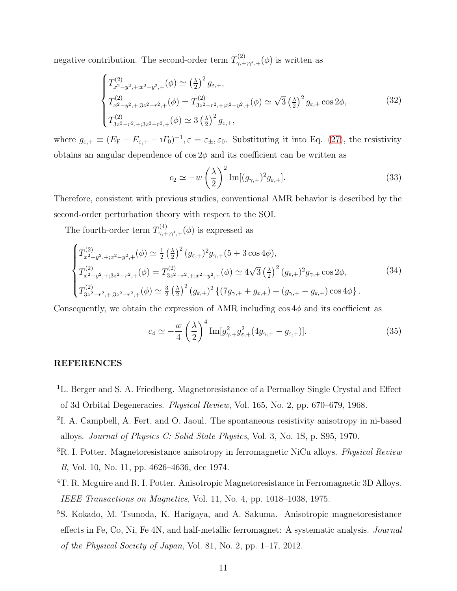negative contribution. The second-order term  $T^{(2)}_{\gamma,+}$  $\gamma_{\gamma,+;\gamma',+}^{(2)}(\phi)$  is written as

$$
\begin{cases}\nT_{x^2-y^2, +; x^2-y^2,+}^{(2)}(\phi) \simeq \left(\frac{\lambda}{2}\right)^2 g_{\varepsilon,+}, \\
T_{x^2-y^2, +; 3z^2-r^2,+}^{(2)}(\phi) = T_{3z^2-r^2, +; x^2-y^2,+}^{(2)}(\phi) \simeq \sqrt{3} \left(\frac{\lambda}{2}\right)^2 g_{\varepsilon,+} \cos 2\phi, \\
T_{3z^2-r^2, +; 3z^2-r^2,+}^{(2)}(\phi) \simeq 3 \left(\frac{\lambda}{2}\right)^2 g_{\varepsilon,+},\n\end{cases}
$$
\n(32)

where  $g_{\varepsilon,+} \equiv (E_{\rm F} - E_{\varepsilon,+} - i \Gamma_0)^{-1}, \varepsilon = \varepsilon_{\pm}, \varepsilon_0$ . Substituting it into Eq. [\(27\)](#page-6-1), the resistivity obtains an angular dependence of  $\cos 2\phi$  and its coefficient can be written as

$$
c_2 \simeq -w\left(\frac{\lambda}{2}\right)^2 \text{Im}[(g_{\gamma,+})^2 g_{\varepsilon,+}].
$$
\n(33)

Therefore, consistent with previous studies, conventional AMR behavior is described by the second-order perturbation theory with respect to the SOI.

The fourth-order term  $T^{(4)}_{\gamma,+}$  $\gamma_{\gamma,+;\gamma',+}^{(\mathcal{A})}(\phi)$  is expressed as

$$
\begin{cases}\nT_{x^2-y^2, +; x^2-y^2,+}^{(2)}(\phi) \simeq \frac{1}{2} \left(\frac{\lambda}{2}\right)^2 (g_{\varepsilon,+})^2 g_{\gamma,+} (5 + 3 \cos 4\phi), \\
T_{x^2-y^2, +; 3z^2-r^2,+}^{(2)}(\phi) = T_{3z^2-r^2, +; x^2-y^2,+}^{(2)}(\phi) \simeq 4\sqrt{3} \left(\frac{\lambda}{2}\right)^2 (g_{\varepsilon,+})^2 g_{\gamma,+} \cos 2\phi, \\
T_{3z^2-r^2, +; 3z^2-r^2,+}^{(2)}(\phi) \simeq \frac{3}{2} \left(\frac{\lambda}{2}\right)^2 (g_{\varepsilon,+})^2 \left\{ (7g_{\gamma,+} + g_{\varepsilon,+}) + (g_{\gamma,+} - g_{\varepsilon,+}) \cos 4\phi \right\}.\n\end{cases} \tag{34}
$$

Consequently, we obtain the expression of AMR including  $\cos 4\phi$  and its coefficient as

$$
c_4 \simeq -\frac{w}{4} \left(\frac{\lambda}{2}\right)^4 \operatorname{Im}[g_{\gamma,+}^2 g_{\varepsilon,+}^2 (4g_{\gamma,+} - g_{\varepsilon,+})]. \tag{35}
$$

# REFERENCES

- <span id="page-10-0"></span><sup>1</sup>L. Berger and S. A. Friedberg. Magnetoresistance of a Permalloy Single Crystal and Effect of 3d Orbital Degeneracies. *Physical Review*, Vol. 165, No. 2, pp. 670–679, 1968.
- 2 I. A. Campbell, A. Fert, and O. Jaoul. The spontaneous resistivity anisotropy in ni-based alloys. *Journal of Physics C: Solid State Physics*, Vol. 3, No. 1S, p. S95, 1970.
- <sup>3</sup>R. I. Potter. Magnetoresistance anisotropy in ferromagnetic NiCu alloys. *Physical Review B*, Vol. 10, No. 11, pp. 4626–4636, dec 1974.
- <sup>4</sup>T. R. Mcguire and R. I. Potter. Anisotropic Magnetoresistance in Ferromagnetic 3D Alloys. *IEEE Transactions on Magnetics*, Vol. 11, No. 4, pp. 1018–1038, 1975.
- <span id="page-10-1"></span><sup>5</sup>S. Kokado, M. Tsunoda, K. Harigaya, and A. Sakuma. Anisotropic magnetoresistance effects in Fe, Co, Ni, Fe 4N, and half-metallic ferromagnet: A systematic analysis. *Journal of the Physical Society of Japan*, Vol. 81, No. 2, pp. 1–17, 2012.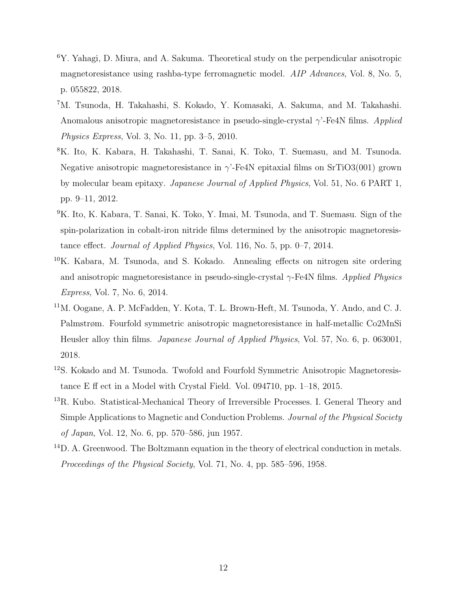- <span id="page-11-0"></span><sup>6</sup>Y. Yahagi, D. Miura, and A. Sakuma. Theoretical study on the perpendicular anisotropic magnetoresistance using rashba-type ferromagnetic model. *AIP Advances*, Vol. 8, No. 5, p. 055822, 2018.
- <span id="page-11-1"></span><sup>7</sup>M. Tsunoda, H. Takahashi, S. Kokado, Y. Komasaki, A. Sakuma, and M. Takahashi. Anomalous anisotropic magnetoresistance in pseudo-single-crystal γ'-Fe4N films. *Applied Physics Express*, Vol. 3, No. 11, pp. 3–5, 2010.
- <sup>8</sup>K. Ito, K. Kabara, H. Takahashi, T. Sanai, K. Toko, T. Suemasu, and M. Tsunoda. Negative anisotropic magnetoresistance in  $\gamma$ -Fe4N epitaxial films on SrTiO3(001) grown by molecular beam epitaxy. *Japanese Journal of Applied Physics*, Vol. 51, No. 6 PART 1, pp. 9–11, 2012.
- <sup>9</sup>K. Ito, K. Kabara, T. Sanai, K. Toko, Y. Imai, M. Tsunoda, and T. Suemasu. Sign of the spin-polarization in cobalt-iron nitride films determined by the anisotropic magnetoresistance effect. *Journal of Applied Physics*, Vol. 116, No. 5, pp. 0–7, 2014.
- <span id="page-11-2"></span><sup>10</sup>K. Kabara, M. Tsunoda, and S. Kokado. Annealing effects on nitrogen site ordering and anisotropic magnetoresistance in pseudo-single-crystal γ-Fe4N films. *Applied Physics Express*, Vol. 7, No. 6, 2014.
- <span id="page-11-3"></span><sup>11</sup>M. Oogane, A. P. McFadden, Y. Kota, T. L. Brown-Heft, M. Tsunoda, Y. Ando, and C. J. Palmstrøm. Fourfold symmetric anisotropic magnetoresistance in half-metallic Co2MnSi Heusler alloy thin films. *Japanese Journal of Applied Physics*, Vol. 57, No. 6, p. 063001, 2018.
- <span id="page-11-4"></span><sup>12</sup>S. Kokado and M. Tsunoda. Twofold and Fourfold Symmetric Anisotropic Magnetoresistance E ff ect in a Model with Crystal Field. Vol. 094710, pp. 1–18, 2015.
- <span id="page-11-5"></span><sup>13</sup>R. Kubo. Statistical-Mechanical Theory of Irreversible Processes. I. General Theory and Simple Applications to Magnetic and Conduction Problems. *Journal of the Physical Society of Japan*, Vol. 12, No. 6, pp. 570–586, jun 1957.
- <span id="page-11-6"></span><sup>14</sup>D. A. Greenwood. The Boltzmann equation in the theory of electrical conduction in metals. *Proceedings of the Physical Society*, Vol. 71, No. 4, pp. 585–596, 1958.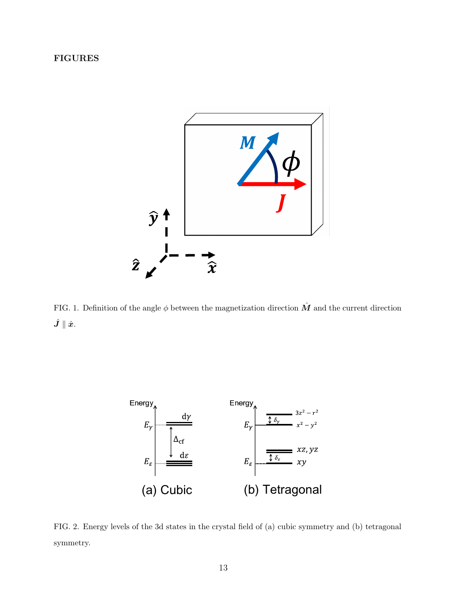# FIGURES



FIG. 1. Definition of the angle  $\phi$  between the magnetization direction  $\hat{M}$  and the current direction  $\hat{\bm{J}}\parallel\hat{\bm{x}}.$ 



<span id="page-12-0"></span>FIG. 2. Energy levels of the 3d states in the crystal field of (a) cubic symmetry and (b) tetragonal symmetry.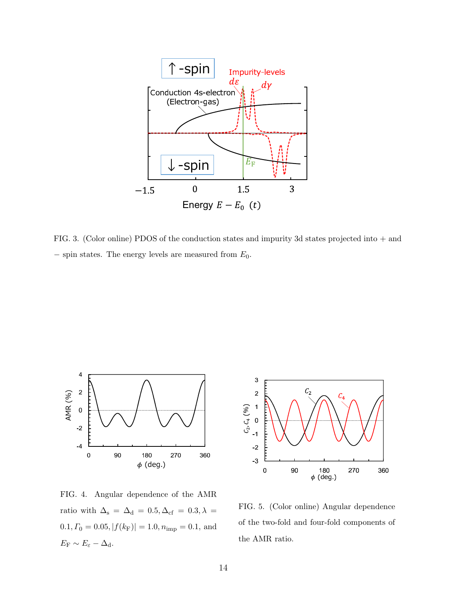

<span id="page-13-0"></span>FIG. 3. (Color online) PDOS of the conduction states and impurity 3d states projected into + and  $-$  spin states. The energy levels are measured from  $E_0$ .



FIG. 4. Angular dependence of the AMR ratio with  $\Delta_{\rm s} \, = \, \Delta_{\rm d} \, = \, 0.5, \Delta_{\rm cf} \, = \, 0.3, \lambda \, =$  $0.1, \varGamma_0 = 0.05, |f(k_\mathrm{F})| = 1.0, n_\mathrm{imp} = 0.1,$  and  $E_{\rm F} \sim E_{\varepsilon} - \Delta_{\rm d}.$ 



<span id="page-13-1"></span>FIG. 5. (Color online) Angular dependence of the two-fold and four-fold components of the AMR ratio.